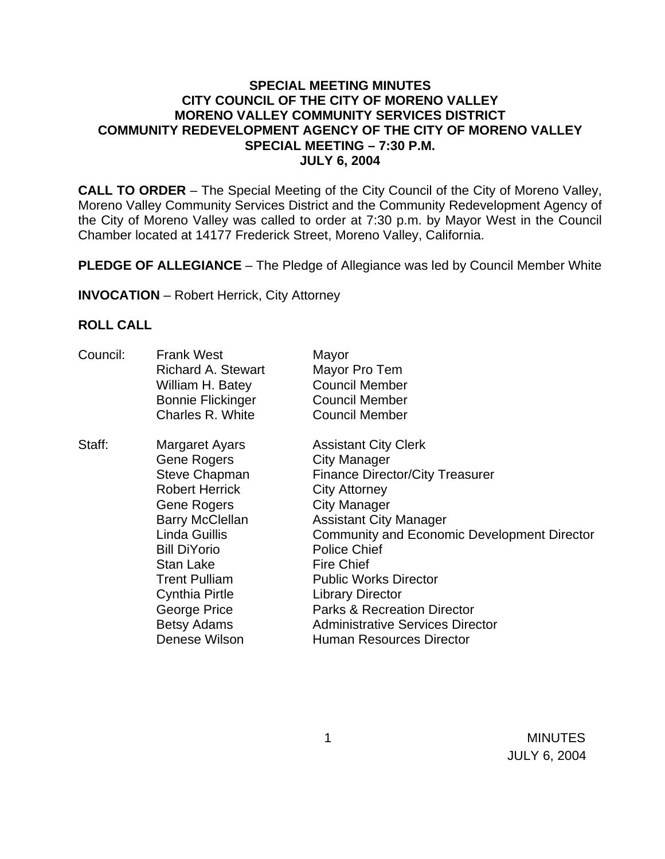### **SPECIAL MEETING MINUTES CITY COUNCIL OF THE CITY OF MORENO VALLEY MORENO VALLEY COMMUNITY SERVICES DISTRICT COMMUNITY REDEVELOPMENT AGENCY OF THE CITY OF MORENO VALLEY SPECIAL MEETING – 7:30 P.M. JULY 6, 2004**

**CALL TO ORDER** – The Special Meeting of the City Council of the City of Moreno Valley, Moreno Valley Community Services District and the Community Redevelopment Agency of the City of Moreno Valley was called to order at 7:30 p.m. by Mayor West in the Council Chamber located at 14177 Frederick Street, Moreno Valley, California.

**PLEDGE OF ALLEGIANCE** – The Pledge of Allegiance was led by Council Member White

**INVOCATION** – Robert Herrick, City Attorney

#### **ROLL CALL**

| Council: | <b>Frank West</b><br><b>Richard A. Stewart</b><br>William H. Batey<br><b>Bonnie Flickinger</b><br>Charles R. White                                                                                                                                                            | Mayor<br>Mayor Pro Tem<br><b>Council Member</b><br><b>Council Member</b><br><b>Council Member</b>                                                                                                                                                                                                                                                                                                                                                                 |
|----------|-------------------------------------------------------------------------------------------------------------------------------------------------------------------------------------------------------------------------------------------------------------------------------|-------------------------------------------------------------------------------------------------------------------------------------------------------------------------------------------------------------------------------------------------------------------------------------------------------------------------------------------------------------------------------------------------------------------------------------------------------------------|
| Staff:   | Margaret Ayars<br><b>Gene Rogers</b><br>Steve Chapman<br><b>Robert Herrick</b><br>Gene Rogers<br><b>Barry McClellan</b><br>Linda Guillis<br><b>Bill DiYorio</b><br>Stan Lake<br><b>Trent Pulliam</b><br>Cynthia Pirtle<br>George Price<br><b>Betsy Adams</b><br>Denese Wilson | <b>Assistant City Clerk</b><br><b>City Manager</b><br><b>Finance Director/City Treasurer</b><br><b>City Attorney</b><br><b>City Manager</b><br><b>Assistant City Manager</b><br><b>Community and Economic Development Director</b><br><b>Police Chief</b><br><b>Fire Chief</b><br><b>Public Works Director</b><br><b>Library Director</b><br><b>Parks &amp; Recreation Director</b><br><b>Administrative Services Director</b><br><b>Human Resources Director</b> |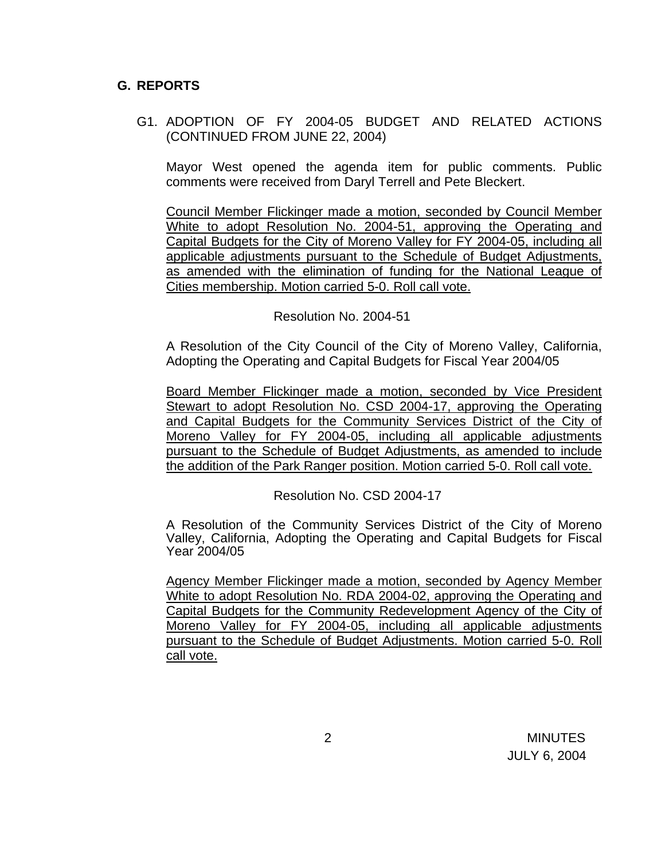## **G. REPORTS**

G1. ADOPTION OF FY 2004-05 BUDGET AND RELATED ACTIONS (CONTINUED FROM JUNE 22, 2004)

Mayor West opened the agenda item for public comments. Public comments were received from Daryl Terrell and Pete Bleckert.

Council Member Flickinger made a motion, seconded by Council Member White to adopt Resolution No. 2004-51, approving the Operating and Capital Budgets for the City of Moreno Valley for FY 2004-05, including all applicable adjustments pursuant to the Schedule of Budget Adjustments, as amended with the elimination of funding for the National League of Cities membership. Motion carried 5-0. Roll call vote.

Resolution No. 2004-51

A Resolution of the City Council of the City of Moreno Valley, California, Adopting the Operating and Capital Budgets for Fiscal Year 2004/05

Board Member Flickinger made a motion, seconded by Vice President Stewart to adopt Resolution No. CSD 2004-17, approving the Operating and Capital Budgets for the Community Services District of the City of Moreno Valley for FY 2004-05, including all applicable adjustments pursuant to the Schedule of Budget Adjustments, as amended to include the addition of the Park Ranger position. Motion carried 5-0. Roll call vote.

Resolution No. CSD 2004-17

 A Resolution of the Community Services District of the City of Moreno Valley, California, Adopting the Operating and Capital Budgets for Fiscal Year 2004/05

Agency Member Flickinger made a motion, seconded by Agency Member White to adopt Resolution No. RDA 2004-02, approving the Operating and Capital Budgets for the Community Redevelopment Agency of the City of Moreno Valley for FY 2004-05, including all applicable adjustments pursuant to the Schedule of Budget Adjustments. Motion carried 5-0. Roll call vote.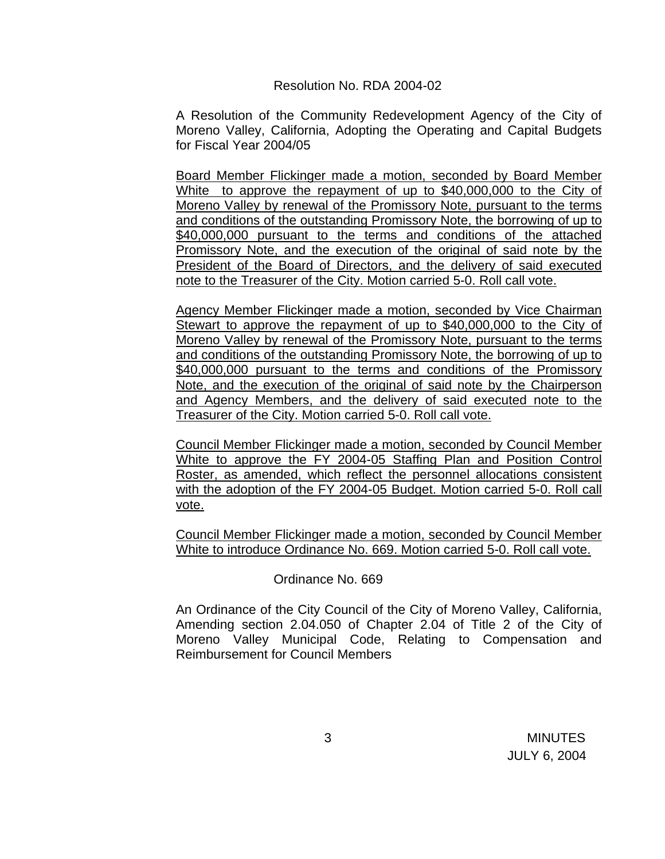### Resolution No. RDA 2004-02

A Resolution of the Community Redevelopment Agency of the City of Moreno Valley, California, Adopting the Operating and Capital Budgets for Fiscal Year 2004/05

Board Member Flickinger made a motion, seconded by Board Member White to approve the repayment of up to \$40,000,000 to the City of Moreno Valley by renewal of the Promissory Note, pursuant to the terms and conditions of the outstanding Promissory Note, the borrowing of up to \$40,000,000 pursuant to the terms and conditions of the attached Promissory Note, and the execution of the original of said note by the President of the Board of Directors, and the delivery of said executed note to the Treasurer of the City. Motion carried 5-0. Roll call vote.

Agency Member Flickinger made a motion, seconded by Vice Chairman Stewart to approve the repayment of up to \$40,000,000 to the City of Moreno Valley by renewal of the Promissory Note, pursuant to the terms and conditions of the outstanding Promissory Note, the borrowing of up to \$40,000,000 pursuant to the terms and conditions of the Promissory Note, and the execution of the original of said note by the Chairperson and Agency Members, and the delivery of said executed note to the Treasurer of the City. Motion carried 5-0. Roll call vote.

Council Member Flickinger made a motion, seconded by Council Member White to approve the FY 2004-05 Staffing Plan and Position Control Roster, as amended, which reflect the personnel allocations consistent with the adoption of the FY 2004-05 Budget. Motion carried 5-0. Roll call vote.

Council Member Flickinger made a motion, seconded by Council Member White to introduce Ordinance No. 669. Motion carried 5-0. Roll call vote.

## Ordinance No. 669

An Ordinance of the City Council of the City of Moreno Valley, California, Amending section 2.04.050 of Chapter 2.04 of Title 2 of the City of Moreno Valley Municipal Code, Relating to Compensation and Reimbursement for Council Members

 3 MINUTES JULY 6, 2004